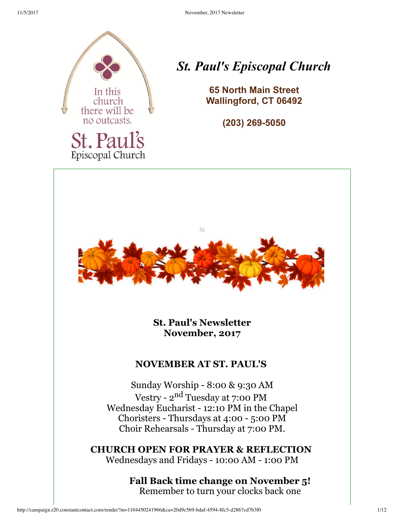

Episcopal Church

# *St. Paul's Episcopal Church*

**65 North Main Street Wallingford, CT 06492**

**(203)** 269-5050



**St. Paul's Newsletter November, 2017**

### **NOVEMBER AT ST. PAUL'S**

Sunday Worship - 8:00 & 9:30 AM Vestry - 2<sup>nd</sup> Tuesday at 7:00 PM Wednesday Eucharist - 12:10 PM in the Chapel Choristers - Thursdays at 4:00 - 5:00 PM Choir Rehearsals - Thursday at 7:00 PM.

**CHURCH OPEN FOR PRAYER & REFLECTION** Wednesdays and Fridays - 10:00 AM - 1:00 PM

> **Fall Back time change on November 5!** Remember to turn your clocks back one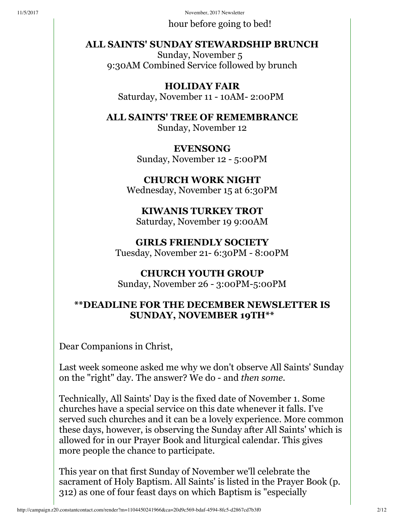hour before going to bed!

### **ALL SAINTS' SUNDAY STEWARDSHIP BRUNCH**

Sunday, November 5 9:30AM Combined Service followed by brunch

**HOLIDAY FAIR** Saturday, November 11 - 10AM- 2:00PM

**ALL SAINTS' TREE OF REMEMBRANCE** Sunday, November 12

> **EVENSONG** Sunday, November 12 - 5:00PM

**CHURCH WORK NIGHT** Wednesday, November 15 at 6:30PM

**KIWANIS TURKEY TROT** Saturday, November 19 9:00AM

**GIRLS FRIENDLY SOCIETY** Tuesday, November 21- 6:30PM - 8:00PM

#### **CHURCH YOUTH GROUP** Sunday, November 26 - 3:00PM-5:00PM

### **\*\*DEADLINE FOR THE DECEMBER NEWSLETTER IS SUNDAY, NOVEMBER 19TH\*\***

Dear Companions in Christ,

Last week someone asked me why we don't observe All Saints' Sunday on the "right" day. The answer? We do - and *then some.*

Technically, All Saints' Day is the fixed date of November 1. Some churches have a special service on this date whenever it falls. I've served such churches and it can be a lovely experience. More common these days, however, is observing the Sunday after All Saints' which is allowed for in our Prayer Book and liturgical calendar. This gives more people the chance to participate.

This year on that first Sunday of November we'll celebrate the sacrament of Holy Baptism. All Saints' is listed in the Prayer Book (p. 312) as one of four feast days on which Baptism is "especially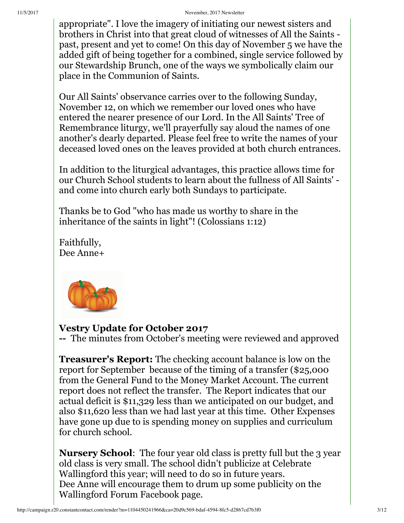appropriate". I love the imagery of initiating our newest sisters and brothers in Christ into that great cloud of witnesses of All the Saints past, present and yet to come! On this day of November 5 we have the added gift of being together for a combined, single service followed by our Stewardship Brunch, one of the ways we symbolically claim our place in the Communion of Saints.

Our All Saints' observance carries over to the following Sunday, November 12, on which we remember our loved ones who have entered the nearer presence of our Lord. In the All Saints' Tree of Remembrance liturgy, we'll prayerfully say aloud the names of one another's dearly departed. Please feel free to write the names of your deceased loved ones on the leaves provided at both church entrances.

In addition to the liturgical advantages, this practice allows time for our Church School students to learn about the fullness of All Saints' and come into church early both Sundays to participate.

Thanks be to God "who has made us worthy to share in the inheritance of the saints in light"! (Colossians 1:12)

Faithfully, Dee Anne+



### **Vestry Update for October 2017**

The minutes from October's meeting were reviewed and approved

**Treasurer's Report:** The checking account balance is low on the report for September because of the timing of a transfer (\$25,000 from the General Fund to the Money Market Account. The current report does not reflect the transfer. The Report indicates that our actual deficit is \$11,329 less than we anticipated on our budget, and also \$11,620 less than we had last year at this time. Other Expenses have gone up due to is spending money on supplies and curriculum for church school.

**Nursery School**: The four year old class is pretty full but the 3 year old class is very small. The school didn't publicize at Celebrate Wallingford this year; will need to do so in future years. Dee Anne will encourage them to drum up some publicity on the Wallingford Forum Facebook page.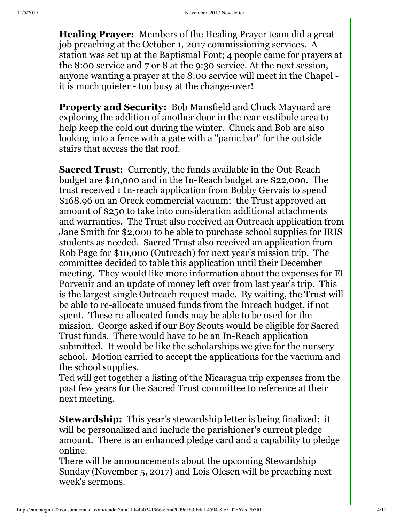**Healing Prayer:** Members of the Healing Prayer team did a great job preaching at the October 1, 2017 commissioning services. A station was set up at the Baptismal Font; 4 people came for prayers at the 8:00 service and 7 or 8 at the 9:30 service. At the next session, anyone wanting a prayer at the 8:00 service will meet in the Chapel it is much quieter - too busy at the change-over!

**Property and Security:** Bob Mansfield and Chuck Maynard are exploring the addition of another door in the rear vestibule area to help keep the cold out during the winter. Chuck and Bob are also looking into a fence with a gate with a "panic bar" for the outside stairs that access the flat roof.

**Sacred Trust:** Currently, the funds available in the Out-Reach budget are \$10,000 and in the In-Reach budget are \$22,000. The trust received 1 In-reach application from Bobby Gervais to spend \$168.96 on an Oreck commercial vacuum; the Trust approved an amount of \$250 to take into consideration additional attachments and warranties. The Trust also received an Outreach application from Jane Smith for \$2,000 to be able to purchase school supplies for IRIS students as needed. Sacred Trust also received an application from Rob Page for \$10,000 (Outreach) for next year's mission trip. The committee decided to table this application until their December meeting. They would like more information about the expenses for El Porvenir and an update of money left over from last year's trip. This is the largest single Outreach request made. By waiting, the Trust will be able to re-allocate unused funds from the Inreach budget, if not spent. These re-allocated funds may be able to be used for the mission. George asked if our Boy Scouts would be eligible for Sacred Trust funds. There would have to be an In-Reach application submitted. It would be like the scholarships we give for the nursery school. Motion carried to accept the applications for the vacuum and the school supplies.

Ted will get together a listing of the Nicaragua trip expenses from the past few years for the Sacred Trust committee to reference at their next meeting.

**Stewardship:** This year's stewardship letter is being finalized; it will be personalized and include the parishioner's current pledge amount. There is an enhanced pledge card and a capability to pledge online.

There will be announcements about the upcoming Stewardship Sunday (November 5, 2017) and Lois Olesen will be preaching next week's sermons.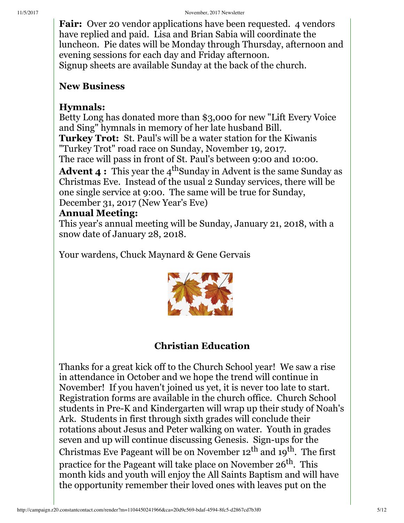**Fair:** Over 20 vendor applications have been requested. 4 vendors have replied and paid. Lisa and Brian Sabia will coordinate the luncheon. Pie dates will be Monday through Thursday, afternoon and evening sessions for each day and Friday afternoon. Signup sheets are available Sunday at the back of the church.

### **New Business**

### **Hymnals:**

Betty Long has donated more than \$3,000 for new "Lift Every Voice and Sing" hymnals in memory of her late husband Bill. **Turkey Trot:** St. Paul's will be a water station for the Kiwanis "Turkey Trot" road race on Sunday, November 19, 2017. The race will pass in front of St. Paul's between 9:00 and 10:00.

**Advent**  $\boldsymbol{4}$  $:$  **This year the**  $4^{\text{th}}$ **Sunday in Advent is the same Sunday as** Christmas Eve. Instead of the usual 2 Sunday services, there will be one single service at 9:00. The same will be true for Sunday, December 31, 2017 (New Year's Eve)

### **Annual Meeting:**

This year's annual meeting will be Sunday, January 21, 2018, with a snow date of January 28, 2018.

Your wardens, Chuck Maynard & Gene Gervais



## **Christian Education**

Thanks for a great kick off to the Church School year! We saw a rise in attendance in October and we hope the trend will continue in November! If you haven't joined us yet, it is never too late to start. Registration forms are available in the church office. Church School students in Pre-K and Kindergarten will wrap up their study of Noah's Ark. Students in first through sixth grades will conclude their rotations about Jesus and Peter walking on water. Youth in grades seven and up will continue discussing Genesis. Sign-ups for the Christmas Eve Pageant will be on November 12 $^{\text{th}}$  and 19 $^{\text{th}}$ . The first practice for the Pageant will take place on November 26<sup>th</sup>. This month kids and youth will enjoy the All Saints Baptism and will have the opportunity remember their loved ones with leaves put on the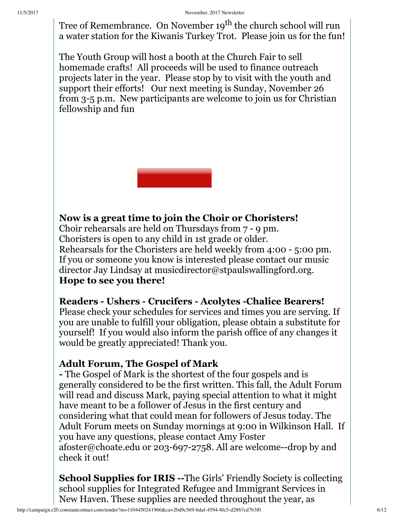Tree of Remembrance. On November 19<sup>th</sup> the church school will run a water station for the Kiwanis Turkey Trot. Please join us for the fun!

The Youth Group will host a booth at the Church Fair to sell homemade crafts! All proceeds will be used to finance outreach projects later in the year. Please stop by to visit with the youth and support their efforts! Our next meeting is Sunday, November 26 from 3-5 p.m. New participants are welcome to join us for Christian fellowship and fun



## **Now is a great time to join the Choir or Choristers!**

Choir rehearsals are held on Thursdays from 7 - 9 pm. Choristers is open to any child in 1st grade or older. Rehearsals for the Choristers are held weekly from 4:00 - 5:00 pm. If you or someone you know is interested please contact our music director Jay Lindsay at musicdirector@stpaulswallingford.org. **Hope to see you there!**

### **Readers Ushers Crucifers Acolytes Chalice Bearers!**

Please check your schedules for services and times you are serving. If you are unable to fulfill your obligation, please obtain a substitute for yourself! If you would also inform the parish office of any changes it would be greatly appreciated! Thank you.

### **Adult Forum, The Gospel of Mark**

 The Gospel of Mark is the shortest of the four gospels and is generally considered to be the first written. This fall, the Adult Forum will read and discuss Mark, paying special attention to what it might have meant to be a follower of Jesus in the first century and considering what that could mean for followers of Jesus today. The Adult Forum meets on Sunday mornings at 9:00 in Wilkinson Hall. If you have any questions, please contact Amy Foster afoster@choate.edu or 203-697-2758. All are welcome--drop by and check it out!

**School Supplies for <b>IRIS** -- The Girls' Friendly Society is collecting school supplies for Integrated Refugee and Immigrant Services in New Haven. These supplies are needed throughout the year, as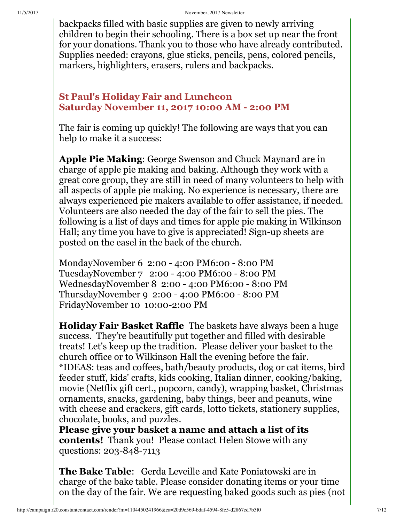backpacks filled with basic supplies are given to newly arriving children to begin their schooling. There is a box set up near the front for your donations. Thank you to those who have already contributed. Supplies needed: crayons, glue sticks, pencils, pens, colored pencils, markers, highlighters, erasers, rulers and backpacks.

### **St Paul's Holiday Fair and Luncheon Saturday November 11, 2017 10:00 AM 2:00 PM**

The fair is coming up quickly! The following are ways that you can help to make it a success:

**Apple Pie Making**: George Swenson and Chuck Maynard are in charge of apple pie making and baking. Although they work with a great core group, they are still in need of many volunteers to help with all aspects of apple pie making. No experience is necessary, there are always experienced pie makers available to offer assistance, if needed. Volunteers are also needed the day of the fair to sell the pies. The following is a list of days and times for apple pie making in Wilkinson Hall; any time you have to give is appreciated! Sign-up sheets are posted on the easel in the back of the church.

MondayNovember 6 2:00 - 4:00 PM6:00 - 8:00 PM TuesdayNovember 7 2:00 - 4:00 PM6:00 - 8:00 PM WednesdayNovember 8 2:00 - 4:00 PM6:00 - 8:00 PM ThursdayNovember 9 2:00 - 4:00 PM6:00 - 8:00 PM FridayNovember 10 10:00-2:00 PM

**Holiday Fair Basket Raffle** The baskets have always been a huge success. They're beautifully put together and filled with desirable treats! Let's keep up the tradition. Please deliver your basket to the church office or to Wilkinson Hall the evening before the fair. \*IDEAS: teas and coffees, bath/beauty products, dog or cat items, bird feeder stuff, kids' crafts, kids cooking, Italian dinner, cooking/baking, movie (Netflix gift cert., popcorn, candy), wrapping basket, Christmas ornaments, snacks, gardening, baby things, beer and peanuts, wine with cheese and crackers, gift cards, lotto tickets, stationery supplies, chocolate, books, and puzzles.

**Please give your basket a name and attach a list of its contents!** Thank you! Please contact Helen Stowe with any questions: 203-848-7113

**The Bake Table**: Gerda Leveille and Kate Poniatowski are in charge of the bake table. Please consider donating items or your time on the day of the fair. We are requesting baked goods such as pies (not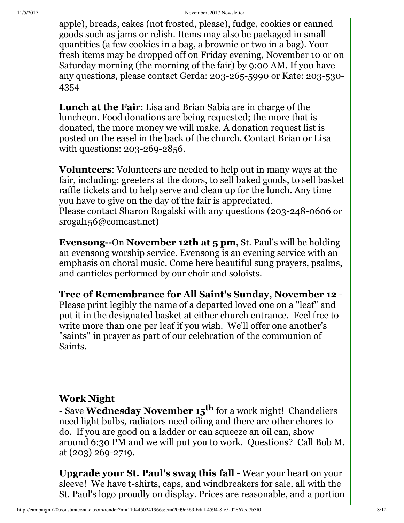apple), breads, cakes (not frosted, please), fudge, cookies or canned goods such as jams or relish. Items may also be packaged in small quantities (a few cookies in a bag, a brownie or two in a bag). Your fresh items may be dropped off on Friday evening, November 10 or on Saturday morning (the morning of the fair) by 9:00 AM. If you have any questions, please contact Gerda: 203-265-5990 or Kate: 203-530- 4354

**Lunch at the Fair**: Lisa and Brian Sabia are in charge of the luncheon. Food donations are being requested; the more that is donated, the more money we will make. A donation request list is posted on the easel in the back of the church. Contact Brian or Lisa with questions: 203-269-2856.

**Volunteers**: Volunteers are needed to help out in many ways at the fair, including: greeters at the doors, to sell baked goods, to sell basket raffle tickets and to help serve and clean up for the lunch. Any time you have to give on the day of the fair is appreciated. Please contact Sharon Rogalski with any questions (203-248-0606 or srogal156@comcast.net)

**Evensong--On November 12th at 5 pm, St. Paul's will be holding** an evensong worship service. Evensong is an evening service with an emphasis on choral music. Come here beautiful sung prayers, psalms, and canticles performed by our choir and soloists.

**Tree of Remembrance for All Saint's Sunday, November 12** - Please print legibly the name of a departed loved one on a "leaf" and put it in the designated basket at either church entrance. Feel free to write more than one per leaf if you wish. We'll offer one another's "saints" in prayer as part of our celebration of the communion of Saints.

## **Work Night**

 Save **Wednesday November 15 th** for a work night! Chandeliers need light bulbs, radiators need oiling and there are other chores to do. If you are good on a ladder or can squeeze an oil can, show around 6:30 PM and we will put you to work. Questions? Call Bob M. at (203) 269-2719.

**Upgrade your St. Paul's swag this fall** - Wear your heart on your sleeve! We have t-shirts, caps, and windbreakers for sale, all with the St. Paul's logo proudly on display. Prices are reasonable, and a portion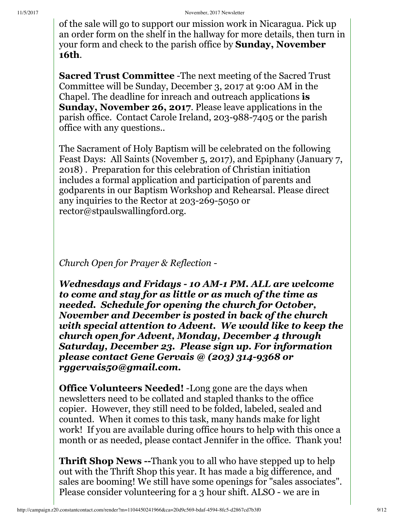of the sale will go to support our mission work in Nicaragua. Pick up an order form on the shelf in the hallway for more details, then turn in your form and check to the parish office by **Sunday, November 16th**.

**Sacred Trust Committee** -The next meeting of the Sacred Trust Committee will be Sunday, December 3, 2017 at 9:00 AM in the Chapel. The deadline for inreach and outreach applications **is Sunday, November 26, 2017**. Please leave applications in the parish office. Contact Carole Ireland, 203-988-7405 or the parish office with any questions..

The Sacrament of Holy Baptism will be celebrated on the following Feast Days: All Saints (November 5, 2017), and Epiphany (January 7, 2018) . Preparation for this celebration of Christian initiation includes a formal application and participation of parents and godparents in our Baptism Workshop and Rehearsal. Please direct any inquiries to the Rector at 203-269-5050 or rector@stpaulswallingford.org.

*Church Open for Prayer & Reflection*

*Wednesdays and Fridays 10 AM1 PM. ALL are welcome to come and stay for as little or as much of the time as needed. Schedule for opening the church for October, November and December is posted in back of the church with special attention to Advent. We would like to keep the church open for Advent, Monday, December 4 through Saturday, December 23. Please sign up. For information please contact Gene Gervais @ (203) 3149368 or rggervais50@gmail.com.*

**Office Volunteers Needed!** -Long gone are the days when newsletters need to be collated and stapled thanks to the office copier. However, they still need to be folded, labeled, sealed and counted. When it comes to this task, many hands make for light work! If you are available during office hours to help with this once a month or as needed, please contact Jennifer in the office. Thank you!

**Thrift Shop News --Thank you to all who have stepped up to help** out with the Thrift Shop this year. It has made a big difference, and sales are booming! We still have some openings for "sales associates". Please consider volunteering for a 3 hour shift. ALSO - we are in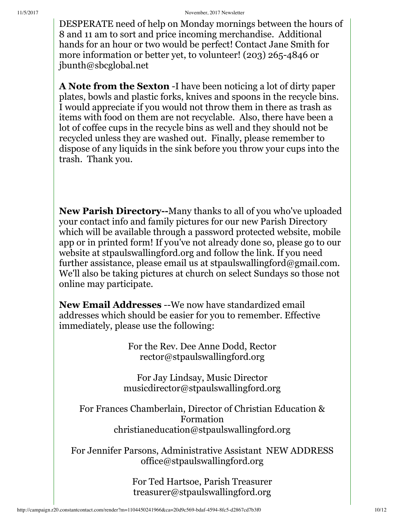DESPERATE need of help on Monday mornings between the hours of 8 and 11 am to sort and price incoming merchandise. Additional hands for an hour or two would be perfect! Contact Jane Smith for more information or better yet, to volunteer! (203) 265-4846 or jbunth@sbcglobal.net

**A Note from the Sexton** -I have been noticing a lot of dirty paper plates, bowls and plastic forks, knives and spoons in the recycle bins. I would appreciate if you would not throw them in there as trash as items with food on them are not recyclable. Also, there have been a lot of coffee cups in the recycle bins as well and they should not be recycled unless they are washed out. Finally, please remember to dispose of any liquids in the sink before you throw your cups into the trash. Thank you.

**New Parish Directory--Many thanks to all of you who've uploaded** your contact info and family pictures for our new Parish Directory which will be available through a password protected website, mobile app or in printed form! If you've not already done so, please go to our website at stpaulswallingford.org and follow the link. If you need further assistance, please email us at stpauls wallingford  $@gamma@$  mail.com. We'll also be taking pictures at church on select Sundays so those not online may participate.

**New Email Addresses** --We now have standardized email addresses which should be easier for you to remember. Effective immediately, please use the following:

> For the Rev. Dee Anne Dodd, Rector rector@stpaulswallingford.org

For Jay Lindsay, Music Director musicdirector@stpaulswallingford.org

For Frances Chamberlain, Director of Christian Education & Formation christianeducation@stpaulswallingford.org

For Jennifer Parsons, Administrative Assistant NEW ADDRESS office@stpaulswallingford.org

> For Ted Hartsoe, Parish Treasurer treasurer@stpaulswallingford.org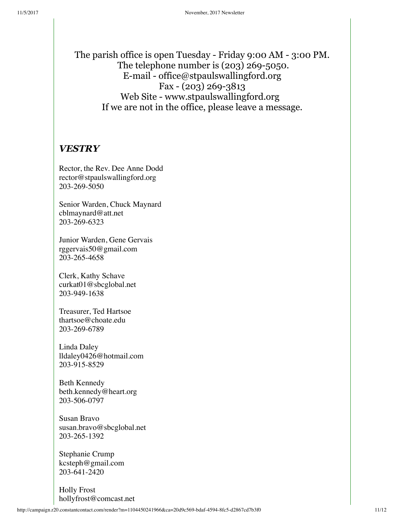The parish office is open Tuesday - Friday 9:00 AM - 3:00 PM. The telephone number is (203) 269-5050. E-mail - office@stpaulswallingford.org Fax -  $(203)$  269-3813 Web Site - www.stpaulswallingford.org If we are not in the office, please leave a message.

#### *VESTRY*

Rector, the Rev. Dee Anne Dodd rector@stpaulswallingford.org 203-269-5050

Senior Warden, Chuck Maynard cblmaynard@att.net 203-269-6323

Junior Warden, Gene Gervais rggervais50@gmail.com 203-265-4658

Clerk, Kathy Schave curkat01@sbcglobal.net 203-949-1638

Treasurer, Ted Hartsoe thartsoe@choate.edu 203-269-6789

Linda Daley lldaley0426@hotmail.com 203-915-8529

Beth Kennedy beth.kennedy@heart.org 203-506-0797

Susan Bravo susan.bravo@sbcglobal.net 203-265-1392

Stephanie Crump kcsteph@gmail.com 203-641-2420

Holly Frost hollyfrost@comcast.net